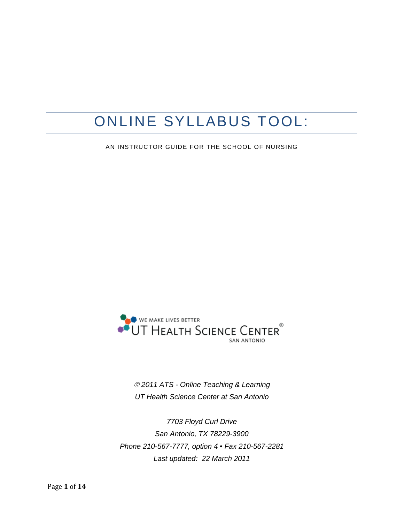# ONLINE SYLLABUS TOOL:

AN INSTRUCTOR GUIDE FOR THE SCHOOL OF NURSING



 *2011 ATS - Online Teaching & Learning UT Health Science Center at San Antonio*

*7703 Floyd Curl Drive San Antonio, TX 78229-3900 Phone 210-567-7777, option 4 • Fax 210-567-2281 Last updated: 22 March 2011*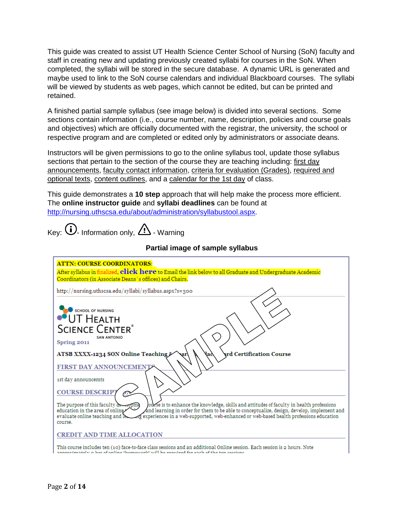This guide was created to assist UT Health Science Center School of Nursing (SoN) faculty and staff in creating new and updating previously created syllabi for courses in the SoN. When completed, the syllabi will be stored in the secure database. A dynamic URL is generated and maybe used to link to the SoN course calendars and individual Blackboard courses. The syllabi will be viewed by students as web pages, which cannot be edited, but can be printed and retained.

A finished partial sample syllabus (see image below) is divided into several sections. Some sections contain information (i.e., course number, name, description, policies and course goals and objectives) which are officially documented with the registrar, the university, the school or respective program and are completed or edited only by administrators or associate deans.

Instructors will be given permissions to go to the online syllabus tool, update those syllabus sections that pertain to the section of the course they are teaching including: first day announcements, faculty contact information, criteria for evaluation (Grades), required and optional texts, content outlines, and a calendar for the 1st day of class.

This guide demonstrates a **10 step** approach that will help make the process more efficient. The **online instructor guide** and **syllabi deadlines** can be found at [http://nursing.uthscsa.edu/about/administration/syllabustool.aspx.](http://nursing.uthscsa.edu/about/administration/syllabustool.aspx)

 $\mathbf{A}$ 

|                                                                                                                                                                                                                             | Partial image of sample syllabus                                                                                                                                                                                                                                                  |
|-----------------------------------------------------------------------------------------------------------------------------------------------------------------------------------------------------------------------------|-----------------------------------------------------------------------------------------------------------------------------------------------------------------------------------------------------------------------------------------------------------------------------------|
| <b>ATTN: COURSE COORDINATORS:</b>                                                                                                                                                                                           | After syllabus in finalized, click here to Email the link below to all Graduate and Undergraduate Academic                                                                                                                                                                        |
|                                                                                                                                                                                                                             | Coordinators (in Associate Deans's offices) and Chairs.<br>http://nursing.uthscsa.edu/syllabi/syllabus.aspx?s=300                                                                                                                                                                 |
| <b>SCHOOL OF NURSING</b><br>UT HEALTH<br><b>SCIENCE CENTER®</b><br><b>SAN ANTONIO</b><br>Spring 2011<br>ATSB XXXX-1234 SON Online Teaching<br><b>FIRST DAY ANNOUNCEMENT</b><br>1st day announcemts<br><b>COURSE DESCRIP</b> | <b>vrd Certification Course</b><br>lac                                                                                                                                                                                                                                            |
| The purpose of this faculty downopme<br>education in the area of online<br>evaluate online teaching and le.<br>course.                                                                                                      | fourse is to enhance the knowledge, skills and attitudes of faculty in health professions<br>and learning in order for them to be able to conceptualize, design, develop, implement and<br>experiences in a web-supported, web-enhanced or web-based health professions education |
| <b>CREDIT AND TIME ALLOCATION</b>                                                                                                                                                                                           |                                                                                                                                                                                                                                                                                   |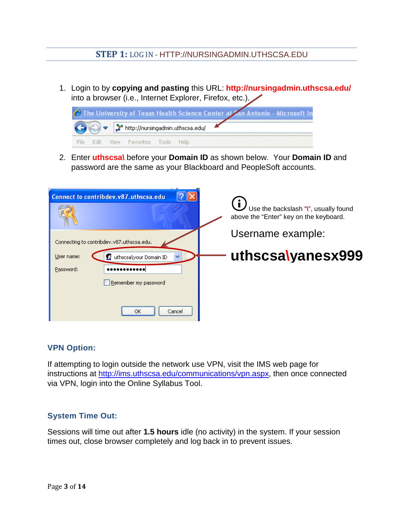### **STEP 1:** LOG IN - HTTP://NURSINGADMIN.UTHSCSA.EDU

1. Login to by **copying and pasting** this URL: **http://nursingadmin.uthscsa.edu/** into a browser (i.e., Internet Explorer, Firefox, etc.).



2. Enter **uthscsa\** before your **Domain ID** as shown below. Your **Domain ID** and password are the same as your Blackboard and PeopleSoft accounts.

| Connect to contribdev.v87.uthscsa.edu     | Use the backslash "\", usually found<br>above the "Enter" key on the keyboard. |
|-------------------------------------------|--------------------------------------------------------------------------------|
| Connecting to contribdev.v87.uthscsa.edu. | Username example:                                                              |
| User name:<br>d uthscsa\your Domain ID    | uthscsalyanesx999                                                              |
| Password:                                 |                                                                                |
| Remember my password                      |                                                                                |
| Cancel<br>ОК                              |                                                                                |

#### **VPN Option:**

If attempting to login outside the network use VPN, visit the IMS web page for instructions at [http://ims.uthscsa.edu/communications/vpn.aspx,](http://ims.uthscsa.edu/communications/vpn.aspx) then once connected via VPN, login into the Online Syllabus Tool.

#### **System Time Out:**

Sessions will time out after **1.5 hours** idle (no activity) in the system. If your session times out, close browser completely and log back in to prevent issues.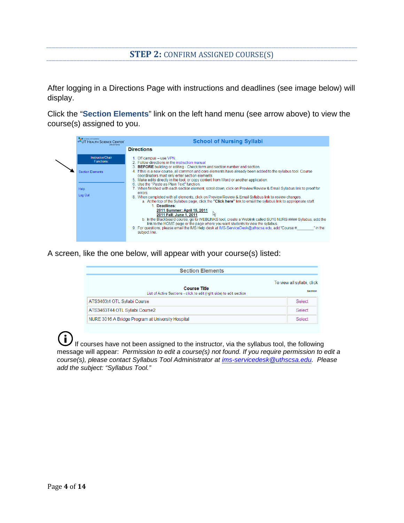#### **STEP 2:** CONFIRM ASSIGNED COURSE(S)

After logging in a Directions Page with instructions and deadlines (see image below) will display.

Click the "**Section Elements**" link on the left hand menu (see arrow above) to view the course(s) assigned to you.

| <b>CALC</b> SCHOOL OF NURSING<br><b>OUT HEALTH SCIENCE CENTER</b> | <b>School of Nursing Syllabi</b>                                                                                                                                                                                                                                                                                                                                                                                                                                                                                                                                                                                                     |  |
|-------------------------------------------------------------------|--------------------------------------------------------------------------------------------------------------------------------------------------------------------------------------------------------------------------------------------------------------------------------------------------------------------------------------------------------------------------------------------------------------------------------------------------------------------------------------------------------------------------------------------------------------------------------------------------------------------------------------|--|
|                                                                   | <b>Directions</b>                                                                                                                                                                                                                                                                                                                                                                                                                                                                                                                                                                                                                    |  |
| Instructor/Chair<br><b>Functions:</b>                             | 1. Off campus - use VPN.<br>2 Follow directions in the instruction manual                                                                                                                                                                                                                                                                                                                                                                                                                                                                                                                                                            |  |
| <b>Section Elements</b>                                           | 3. <b>BEFORE</b> building or editing - Check term and section number and section.<br>4. If this is a new course, all common and core elements have already been added to the syllabus tool. Course<br>coordinators must only enter section elements.<br>5. Make edits directly in the tool, or copy content from Word or another application.                                                                                                                                                                                                                                                                                        |  |
| <b>Help</b>                                                       | 6. Use the "Paste as Plain Text" function.<br>7. When finished with each section element, scroll down, click on Preview/Review & Email Syllabus link to proof for<br>errors                                                                                                                                                                                                                                                                                                                                                                                                                                                          |  |
| Log Out                                                           | 8. When completed with all elements, click on Preview/Review & Email Syllabus link to review changes.<br>a. At the top of the Syllabus page, click the "Click here" link to email the syllabus link to appropriate staff.<br>1. Deadlines:<br>2011 Summer: April 15, 2011<br>2011 Fall: June 1, 2011<br>b. In the Blackboard course, go to WEBLINKS tool, create a Weblink called SU10 NURS #### Syllabus, add the<br>link to the HOME page or the page where you want students to view the syllabus.<br>9. For questions, please email the IMS Help desk at IMS-ServiceDesk@uthscsa.edu, add 'Course #<br>' in the<br>subject line. |  |

A screen, like the one below, will appear with your course(s) listed:

| <b>Section Elements</b>                                                                     |                                              |
|---------------------------------------------------------------------------------------------|----------------------------------------------|
| <b>Course Title</b><br>List of Active Sections - click to edit (right side) to edit section | To view all syllabi, click<br><b>Section</b> |
| ATS3463t4 OTL Syllabi Course                                                                | Select                                       |
| ATS3463T44 OTL Syllabi Course2                                                              | Select                                       |
| NURE 3016 A Bridge Program at University Hospital                                           | Select                                       |

 $\left( \mathbf{f}\right)$ If courses have not been assigned to the instructor, via the syllabus tool, the following message will appear: *Permission to edit a course(s) not found. If you require permission to edit a course(s), please contact Syllabus Tool Administrator at [ims-servicedesk@uthscsa.edu.](mailto:ims-servicedesk@uthscsa.edu) Please add the subject: "Syllabus Tool."*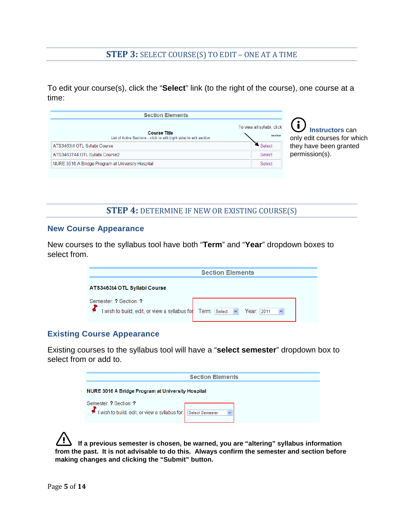#### **STEP 3:** SELECT COURSE(S) TO EDIT – ONE AT A TIME

To edit your course(s), click the "**Select**" link (to the right of the course), one course at a time:

| <b>Section Elements</b>                                                                     |                                              |
|---------------------------------------------------------------------------------------------|----------------------------------------------|
| <b>Course Title</b><br>List of Active Sections - click to edit (right side) to edit section | To view all syllabi, click<br><b>Section</b> |
| ATS3463t4 OTL Syllabi Course                                                                | Select                                       |
| ATS3463T44 OTL Syllabi Course2                                                              | Select                                       |
| NURE 3016 A Bridge Program at University Hospital                                           | Select                                       |

 **Instructors** can only edit courses for which they have been granted permission(s).

**STEP 4:** DETERMINE IF NEW OR EXISTING COURSE(S)

#### **New Course Appearance**

New courses to the syllabus tool have both "**Term**" and "**Year**" dropdown boxes to select from.

| <b>Section Elements</b>                                     |                   |  |
|-------------------------------------------------------------|-------------------|--|
| ATS3463t4 OTL Syllabi Course                                |                   |  |
| Semester: ? Section: ?                                      |                   |  |
| I wish to build, edit, or view a syllabus for: Term: Select | - Year: I<br>2011 |  |

#### **Existing Course Appearance**

Existing courses to the syllabus tool will have a "**select semester**" dropdown box to select from or add to.

|                                                                        | <b>Section Elements</b>         |  |
|------------------------------------------------------------------------|---------------------------------|--|
| <b>NURE 3016 A Bridge Program at University Hospital</b>               |                                 |  |
| Semester ? Section ?<br>I wish to build, edit, or view a syllabus for: | Select Semester<br>$\checkmark$ |  |

**If a previous semester is chosen, be warned, you are "altering" syllabus information from the past. It is not advisable to do this. Always confirm the semester and section before making changes and clicking the "Submit" button.**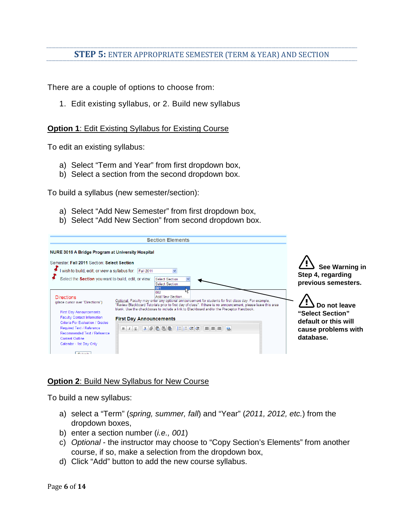# **STEP 5:** ENTER APPROPRIATE SEMESTER (TERM & YEAR) AND SECTION

There are a couple of options to choose from:

1. Edit existing syllabus, or 2. Build new syllabus

#### **Option 1: Edit Existing Syllabus for Existing Course**

To edit an existing syllabus:

- a) Select "Term and Year" from first dropdown box,
- b) Select a section from the second dropdown box.

To build a syllabus (new semester/section):

- a) Select "Add New Semester" from first dropdown box,
- b) Select "Add New Section" from second dropdown box.

| <b>Section Elements</b>                                                                                                                                                                                                                                                                                                                                                                                                                                                                                                                                                                                                                                                                                                                                                   |                                                                                              |
|---------------------------------------------------------------------------------------------------------------------------------------------------------------------------------------------------------------------------------------------------------------------------------------------------------------------------------------------------------------------------------------------------------------------------------------------------------------------------------------------------------------------------------------------------------------------------------------------------------------------------------------------------------------------------------------------------------------------------------------------------------------------------|----------------------------------------------------------------------------------------------|
| <b>NURE 3016 A Bridge Program at University Hospital</b><br>Semester: Fall 2011 Section: Select Section<br>I wish to build, edit, or view a syllabus for: Fall 2011<br>Select the Section you want to build, edit, or view:<br>Select Section<br><b>Select Section</b>                                                                                                                                                                                                                                                                                                                                                                                                                                                                                                    | See Warning in<br>Step 4, regarding<br>previous semesters.                                   |
| 1001<br>002<br>Add New Section<br><b>Directions</b><br>Optional: Faculty may enter any optional announcement for students for first class day. For example,<br>(place cursor over "Directions")<br>"Review Blackboard Tutorials prior to first day of class". If there is no announcement, please leave this area<br>blank. Use the checkboxes to include a link to Blackboard and/or the Preceptor Handbook.<br><b>First Day Announcements</b><br>Faculty Contact Information<br><b>First Day Announcements</b><br>Criteria For Evaluation / Grades<br>B   1   U     X   @   临   临   临   1   扫   扫   注   注   三   三   三   三   三   三   三  <br>Required Text / Reference<br>Recommended Text / Reference<br>Content Outline<br>Calendar - 1st Day Only<br><b>CONTRACTOR</b> | Do not leave<br>"Select Section"<br>default or this will<br>cause problems with<br>database. |

#### **Option 2**: Build New Syllabus for New Course

To build a new syllabus:

- a) select a "Term" (*spring, summer, fall*) and "Year" (*2011, 2012, etc.*) from the dropdown boxes,
- b) enter a section number (*i.e., 001*)
- c) *Optional*  the instructor may choose to "Copy Section's Elements" from another course, if so, make a selection from the dropdown box,
- d) Click "Add" button to add the new course syllabus.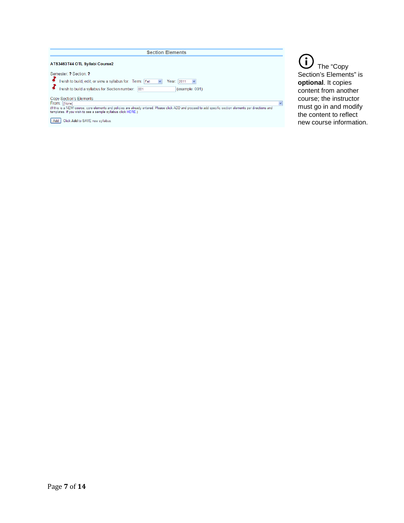| <b>Section Elements</b>                                                                                                                                                                                                                                                                                                                                                                                                                                                                                                                                  |                                                                                                                                                                                            |
|----------------------------------------------------------------------------------------------------------------------------------------------------------------------------------------------------------------------------------------------------------------------------------------------------------------------------------------------------------------------------------------------------------------------------------------------------------------------------------------------------------------------------------------------------------|--------------------------------------------------------------------------------------------------------------------------------------------------------------------------------------------|
| ATS3463T44 OTL Syllabi Course2<br>Semester ? Section ?<br>I wish to build, edit, or view a syllabus for: Term: Fall<br>$\overline{\mathbf{v}}$<br>Year:  2011<br>I wish to build a syllabus for Section number: 001<br>(example: 001)<br>Copy Section's Elements<br>From: [None]<br>(If this is a NEW course, core elements and policies are already entered. Please click ADD and proceed to add specific section elements per directions and<br>templates. If you wish to see a sample syllabus click HERE.)<br>Click Add to SAVE new syllabus.<br>Add | The "Copy<br>Section's Elements" is<br>optional. It copies<br>content from another<br>course; the instructor<br>must go in and modify<br>the content to reflect<br>new course information. |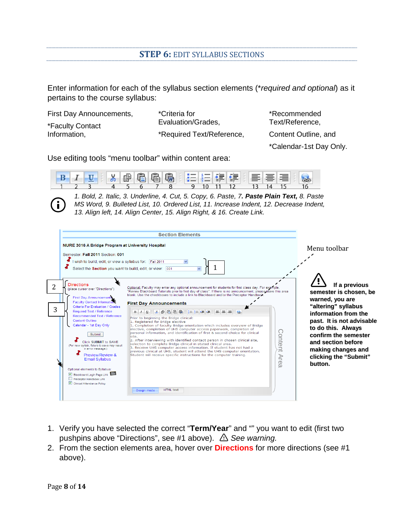#### **STEP 6:** EDIT SYLLABUS SECTIONS

Enter information for each of the syllabus section elements (\**required and optional*) as it pertains to the course syllabus:

| First Day Announcements, | <i>*Criteria for</i>      |
|--------------------------|---------------------------|
| *Faculty Contact         | Evaluation/Grades,        |
| Information,             | *Required Text/Reference, |

\*Recommended Text/Reference,

Content Outline, and

\*Calendar-1st Day Only.

Use editing tools "menu toolbar" within content area:



*1. Bold, 2. Italic, 3. Underline, 4. Cut, 5. Copy, 6. Paste, 7. Paste Plain Text, 8. Paste MS Word, 9. Bulleted List, 10. Ordered List, 11. Increase Indent, 12. Decrease Indent, 13. Align left, 14. Align Center, 15. Align Right, & 16. Create Link.*

|        | <b>NURE 3016 A Bridge Program at University Hospital</b><br>Semester: Fall 2011 Section: 001<br>I wish to build, edit, or view a syllabus for: Fall 2011<br>Select the Section you want to build, edit, or view: 001                                                                                                                                                                                                                                                                                                                                                        | <b>Section Elements</b>                                                                                                                                                                                                                                                                                                                                                                                                                                                                                                                                                                                                                                                                                                                                                                                                                                                                                                                                                                                                                                                                                                                                          | Menu toolbar                                                                                                                                                                                                                                                         |
|--------|-----------------------------------------------------------------------------------------------------------------------------------------------------------------------------------------------------------------------------------------------------------------------------------------------------------------------------------------------------------------------------------------------------------------------------------------------------------------------------------------------------------------------------------------------------------------------------|------------------------------------------------------------------------------------------------------------------------------------------------------------------------------------------------------------------------------------------------------------------------------------------------------------------------------------------------------------------------------------------------------------------------------------------------------------------------------------------------------------------------------------------------------------------------------------------------------------------------------------------------------------------------------------------------------------------------------------------------------------------------------------------------------------------------------------------------------------------------------------------------------------------------------------------------------------------------------------------------------------------------------------------------------------------------------------------------------------------------------------------------------------------|----------------------------------------------------------------------------------------------------------------------------------------------------------------------------------------------------------------------------------------------------------------------|
| 2<br>3 | <b>Directions</b><br>(place cursor over "Directions")<br><b>First Day Announcements</b><br><b>Faculty Contact Information</b><br>Criteria For Evaluation / Grades<br>Required Text / Reference<br>Recommended Text / Reference<br><b>Content Outline</b><br>Calendar - 1st Day Only<br><b>Submit</b><br>Click SUBMIT to SAVE<br>(For new syllabi, failure to save may result<br>in error message.)<br>Preview/Review &<br><b>Email Syllabus</b><br>Optional elements to Syllabus:<br>Blackboard Login Page Link Bb<br>Preceptor Handbook Link<br>Clinical Attendance Policy | Optional: Faculty may enter any optional announcement for students for first class day. For example,<br>"Review Blackboard Tutorials prior to first day of class". If there is no announcement, please leave this area<br>blank. Use the checkboxes to include a link to Blackboard and/or the Preceptor Handbook.<br><b>First Day Announcements</b><br>$B$ $I$ $U$<br>三三<br>Prior to beginning the Bridge clinical:<br>1. Registered for Bridge elective<br>1. Completion of faculty Bridge orientation which includes overview of Bridge<br>elective, completion of UHS computer access paperwork, completion of<br>Content<br>personal information, and identification of first & second choice for clinical<br>lsite.<br>2. After interviewing with identified contact person in chosen clinical site,<br>selection to complete Bridge clinical in stated clinical area.<br>3. Receive UHS computer access information. If student has not had a<br>previous clinical at UHS, student will attend the UHS computer orientation.<br>Student will receive specific instructions for the computer training.<br>Are<br>$\cap$<br><b>HTML</b> text<br>Design mode | If a previous<br>semester is chosen, be<br>warned, you are<br>"altering" syllabus<br>information from the<br>past. It is not advisable<br>to do this. Always<br>confirm the semester<br>and section before<br>making changes and<br>clicking the "Submit"<br>button. |

- 1. Verify you have selected the correct "**Term/Year**" and "" you want to edit (first two pushpins above "Directions", see #1 above).  $\triangle$  See warning.
- 2. From the section elements area, hover over **Directions** for more directions (see #1 above).

Ľ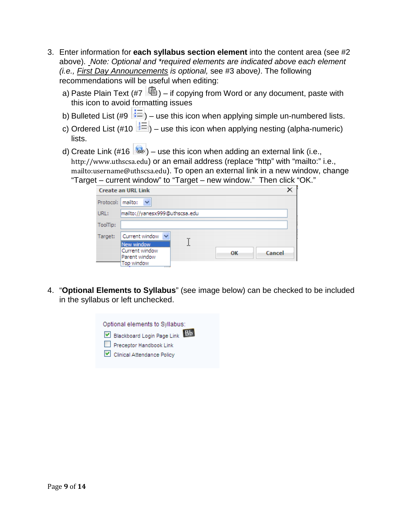- 3. Enter information for **each syllabus section element** into the content area (see #2 above). *Note: Optional and \*required elements are indicated above each element (i.e., First Day Announcements is optional,* see #3 above*)*. The following recommendations will be useful when editing:
	- a) Paste Plain Text (#7  $\left|\mathbb{G}\right|$ ) if copying from Word or any document, paste with this icon to avoid formatting issues
	- b) Bulleted List (#9  $\mathbf{E} = \mathbf{0}$  use this icon when applying simple un-numbered lists.
	- c) Ordered List (#10  $\geq$  =  $\mid$  = use this icon when applying nesting (alpha-numeric) lists.
	- d) Create Link  $(\#16 \mid \bullet)$  use this icon when adding an external link (i.e., [http://www.uthscsa.edu](http://www.uthscsa.edu/)) or an email address (replace "http" with "mailto:" i.e., <mailto:username@uthscsa.edu>). To open an external link in a new window, change "Target – current window" to "Target – new window." Then click "OK."

|          | $\frac{1}{2}$                                               |    |        |
|----------|-------------------------------------------------------------|----|--------|
|          | <b>Create an URL Link</b>                                   |    |        |
|          | Protocol:   mailto:<br>$\checkmark$                         |    |        |
| URL:     | mailto://yanesx999@uthscsa.edu                              |    |        |
| ToolTip: |                                                             |    |        |
| Target:  | Current window V                                            |    |        |
|          | New window<br>Current window<br>Parent window<br>Top window | ΟК | Cancel |

4. "**Optional Elements to Syllabus**" (see image below) can be checked to be included in the syllabus or left unchecked.

| Optional elements to Syllabus: |
|--------------------------------|
| Blackboard Login Page Link Bb  |
| Preceptor Handbook Link        |
| Clinical Attendance Policy     |
|                                |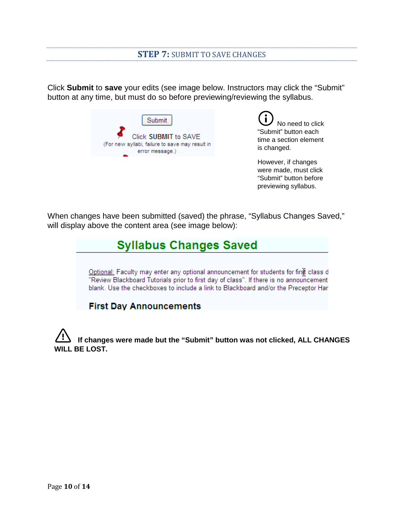#### **STEP 7:** SUBMIT TO SAVE CHANGES

Click **Submit** to **save** your edits (see image below. Instructors may click the "Submit" button at any time, but must do so before previewing/reviewing the syllabus.

| Submit                                                                                     |
|--------------------------------------------------------------------------------------------|
| Click SUBMIT to SAVE<br>(For new syllabi, failure to save may result in<br>error message.) |
|                                                                                            |

 No need to click "Submit" button each time a section element is changed.

However, if changes were made, must click "Submit" button before previewing syllabus.

When changes have been submitted (saved) the phrase, "Syllabus Changes Saved," will display above the content area (see image below):

# **Syllabus Changes Saved**

Optional: Faculty may enter any optional announcement for students for first class d "Review Blackboard Tutorials prior to first day of class". If there is no announcement blank. Use the checkboxes to include a link to Blackboard and/or the Preceptor Han

#### **First Day Announcements**

**If changes were made but the "Submit" button was not clicked, ALL CHANGES ILL BE LOST.**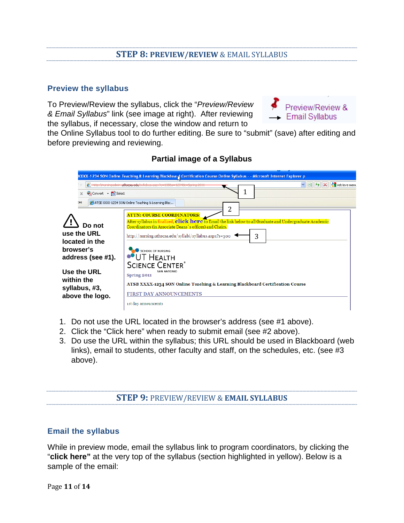# **STEP 8: PREVIEW/REVIEW** & EMAIL SYLLABUS

#### **Preview the syllabus**

To Preview/Review the syllabus, click the "*Preview/Review & Email Syllabus*" link (see image at right). After reviewing the syllabus, if necessary, close the window and return to



the Online Syllabus tool to do further editing. Be sure to "submit" (save) after editing and before previewing and reviewing.

| Convert - RiSelect                                            | XXXX-1234 SON Online Teaching & Learning Blackboard Certification Course Online Syllabus - - Microsoft Internet Explorer p<br>$\frac{1}{2}$ $\frac{1}{2}$<br><b>X</b> retrieve menu<br><sup>2</sup> http://nursingadmin.uthscsa.edu/syllabus.aspx?c=1008s=12048t=Spring 20 |
|---------------------------------------------------------------|----------------------------------------------------------------------------------------------------------------------------------------------------------------------------------------------------------------------------------------------------------------------------|
| :es<br>Do not<br>use the URL                                  | ATSB XXXX-1234 SON Online Teaching & Learning Blac<br>2<br><b>ATTN: COURSE COORDINATORS:</b><br>After syllabus in finalized, click here to Email the link below to all Graduate and Undergraduate Academic<br>Coordinators (in Associate Deans's offices) and Chairs.      |
| located in the<br>browser's<br>address (see #1).              | 3<br>http://nursing.uthscsa.edu/syllabi/syllabus.aspx?s=300<br>SCHOOL OF NURSING<br>JT Неаlth<br><b>SCIENCE CENTER®</b>                                                                                                                                                    |
| Use the URL<br>within the<br>syllabus, #3,<br>above the logo. | <b>SAN ANTONIO</b><br>Spring 2011<br>ATSB XXXX-1234 SON Online Teaching & Learning Blackboard Certification Course<br><b>FIRST DAY ANNOUNCEMENTS</b><br>ist day announcemts                                                                                                |

#### **Partial image of a Syllabus**

- 1. Do not use the URL located in the browser's address (see #1 above).
- 2. Click the "Click here" when ready to submit email (see #2 above).
- 3. Do use the URL within the syllabus; this URL should be used in Blackboard (web links), email to students, other faculty and staff, on the schedules, etc. (see #3 above).

#### **STEP 9:** PREVIEW/REVIEW & **EMAIL SYLLABUS**

#### **Email the syllabus**

While in preview mode, email the syllabus link to program coordinators, by clicking the "**click here"** at the very top of the syllabus (section highlighted in yellow). Below is a sample of the email: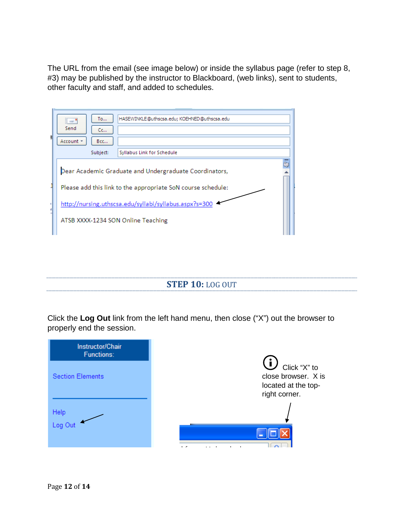The URL from the email (see image below) or inside the syllabus page (refer to step 8, #3) may be published by the instructor to Blackboard, (web links), sent to students, other faculty and staff, and added to schedules.

| HASEWINKLE@uthscsa.edu; KOEHNED@uthscsa.edu<br>To<br>$\mathbb{R} = \mathbb{R}$<br>Send<br>Cc<br>Account -<br>Bcc<br>Syllabus Link for Schedule<br>Subject: |  |  |
|------------------------------------------------------------------------------------------------------------------------------------------------------------|--|--|
|                                                                                                                                                            |  |  |
| 颐<br>Dear Academic Graduate and Undergraduate Coordinators,                                                                                                |  |  |
| Please add this link to the appropriate SoN course schedule:                                                                                               |  |  |
| http://nursing.uthscsa.edu/syllabi/syllabus.aspx?s=300                                                                                                     |  |  |
| ATSB XXXX-1234 SON Online Teaching                                                                                                                         |  |  |
|                                                                                                                                                            |  |  |

**STEP 10:** LOG OUT

Click the **Log Out** link from the left hand menu, then close ("X") out the browser to properly end the session.

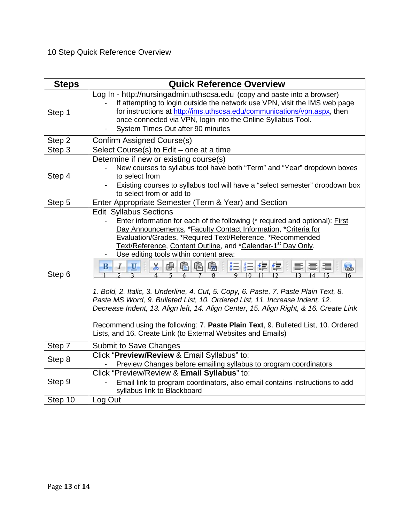# 10 Step Quick Reference Overview

| <b>Steps</b> | <b>Quick Reference Overview</b>                                                                                                                                                                                                                                                                                                                                                                                                                                                                                                                                                                                                                                                                                                                                                                                                |
|--------------|--------------------------------------------------------------------------------------------------------------------------------------------------------------------------------------------------------------------------------------------------------------------------------------------------------------------------------------------------------------------------------------------------------------------------------------------------------------------------------------------------------------------------------------------------------------------------------------------------------------------------------------------------------------------------------------------------------------------------------------------------------------------------------------------------------------------------------|
| Step 1       | Log In - http://nursingadmin.uthscsa.edu (copy and paste into a browser)<br>If attempting to login outside the network use VPN, visit the IMS web page<br>for instructions at http://ims.uthscsa.edu/communications/vpn.aspx, then<br>once connected via VPN, login into the Online Syllabus Tool.<br>System Times Out after 90 minutes                                                                                                                                                                                                                                                                                                                                                                                                                                                                                        |
| Step 2       | Confirm Assigned Course(s)                                                                                                                                                                                                                                                                                                                                                                                                                                                                                                                                                                                                                                                                                                                                                                                                     |
| Step 3       | Select Course(s) to Edit – one at a time                                                                                                                                                                                                                                                                                                                                                                                                                                                                                                                                                                                                                                                                                                                                                                                       |
| Step 4       | Determine if new or existing course(s)<br>New courses to syllabus tool have both "Term" and "Year" dropdown boxes<br>to select from<br>Existing courses to syllabus tool will have a "select semester" dropdown box<br>to select from or add to                                                                                                                                                                                                                                                                                                                                                                                                                                                                                                                                                                                |
| Step 5       | Enter Appropriate Semester (Term & Year) and Section                                                                                                                                                                                                                                                                                                                                                                                                                                                                                                                                                                                                                                                                                                                                                                           |
| Step 6       | <b>Edit Syllabus Sections</b><br>Enter information for each of the following (* required and optional): First<br>Day Announcements, *Faculty Contact Information, *Criteria for<br>Evaluation/Grades, *Required Text/Reference, *Recommended<br>Text/Reference, Content Outline, and *Calendar-1 <sup>st</sup> Day Only.<br>Use editing tools within content area:<br>人中自自由<br>计扫描键体<br>B<br>$\mathbf{U}$<br>1. Bold, 2. Italic, 3. Underline, 4. Cut, 5. Copy, 6. Paste, 7. Paste Plain Text, 8.<br>Paste MS Word, 9. Bulleted List, 10. Ordered List, 11. Increase Indent, 12.<br>Decrease Indent, 13. Align left, 14. Align Center, 15. Align Right, & 16. Create Link<br>Recommend using the following: 7. Paste Plain Text, 9. Bulleted List, 10. Ordered<br>Lists, and 16. Create Link (to External Websites and Emails) |
| Step 7       | Submit to Save Changes                                                                                                                                                                                                                                                                                                                                                                                                                                                                                                                                                                                                                                                                                                                                                                                                         |
| Step 8       | Click "Preview/Review & Email Syllabus" to:<br>Preview Changes before emailing syllabus to program coordinators                                                                                                                                                                                                                                                                                                                                                                                                                                                                                                                                                                                                                                                                                                                |
| Step 9       | Click "Preview/Review & Email Syllabus" to:<br>Email link to program coordinators, also email contains instructions to add<br>syllabus link to Blackboard                                                                                                                                                                                                                                                                                                                                                                                                                                                                                                                                                                                                                                                                      |
| Step 10      | Log Out                                                                                                                                                                                                                                                                                                                                                                                                                                                                                                                                                                                                                                                                                                                                                                                                                        |